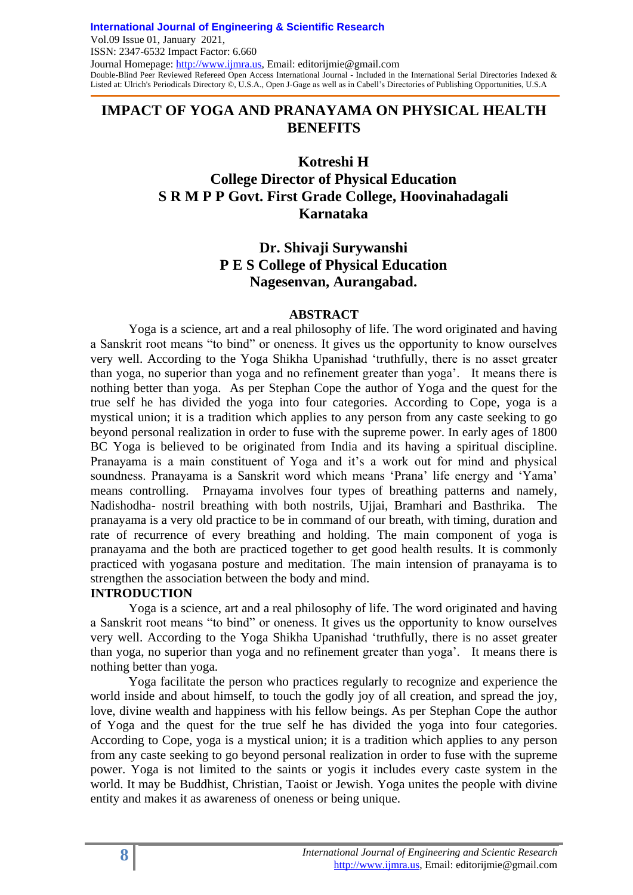## **IMPACT OF YOGA AND PRANAYAMA ON PHYSICAL HEALTH BENEFITS**

**Kotreshi H**

# **College Director of Physical Education S R M P P Govt. First Grade College, Hoovinahadagali Karnataka**

## **Dr. Shivaji Surywanshi P E S College of Physical Education Nagesenvan, Aurangabad.**

#### **ABSTRACT**

Yoga is a science, art and a real philosophy of life. The word originated and having a Sanskrit root means "to bind" or oneness. It gives us the opportunity to know ourselves very well. According to the Yoga Shikha Upanishad "truthfully, there is no asset greater than yoga, no superior than yoga and no refinement greater than yoga". It means there is nothing better than yoga. As per Stephan Cope the author of Yoga and the quest for the true self he has divided the yoga into four categories. According to Cope, yoga is a mystical union; it is a tradition which applies to any person from any caste seeking to go beyond personal realization in order to fuse with the supreme power. In early ages of 1800 BC Yoga is believed to be originated from India and its having a spiritual discipline. Pranayama is a main constituent of Yoga and it's a work out for mind and physical soundness. Pranayama is a Sanskrit word which means 'Prana' life energy and 'Yama' means controlling. Prnayama involves four types of breathing patterns and namely, Nadishodha- nostril breathing with both nostrils, Ujjai, Bramhari and Basthrika. The pranayama is a very old practice to be in command of our breath, with timing, duration and rate of recurrence of every breathing and holding. The main component of yoga is pranayama and the both are practiced together to get good health results. It is commonly practiced with yogasana posture and meditation. The main intension of pranayama is to strengthen the association between the body and mind.

### **INTRODUCTION**

Yoga is a science, art and a real philosophy of life. The word originated and having a Sanskrit root means "to bind" or oneness. It gives us the opportunity to know ourselves very well. According to the Yoga Shikha Upanishad "truthfully, there is no asset greater than yoga, no superior than yoga and no refinement greater than yoga". It means there is nothing better than yoga.

Yoga facilitate the person who practices regularly to recognize and experience the world inside and about himself, to touch the godly joy of all creation, and spread the joy, love, divine wealth and happiness with his fellow beings. As per Stephan Cope the author of Yoga and the quest for the true self he has divided the yoga into four categories. According to Cope, yoga is a mystical union; it is a tradition which applies to any person from any caste seeking to go beyond personal realization in order to fuse with the supreme power. Yoga is not limited to the saints or yogis it includes every caste system in the world. It may be Buddhist, Christian, Taoist or Jewish. Yoga unites the people with divine entity and makes it as awareness of oneness or being unique.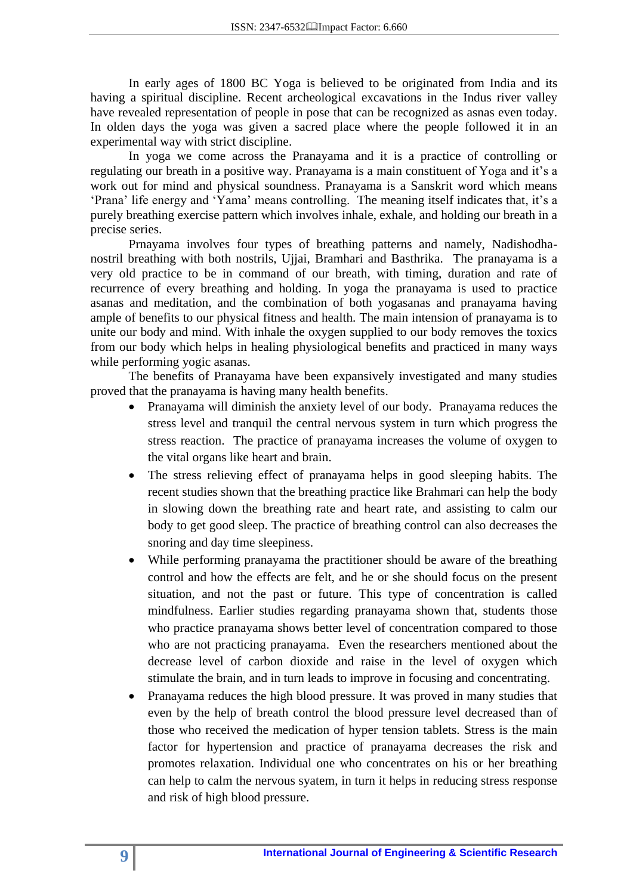In early ages of 1800 BC Yoga is believed to be originated from India and its having a spiritual discipline. Recent archeological excavations in the Indus river valley have revealed representation of people in pose that can be recognized as asnas even today. In olden days the yoga was given a sacred place where the people followed it in an experimental way with strict discipline.

In yoga we come across the Pranayama and it is a practice of controlling or regulating our breath in a positive way. Pranayama is a main constituent of Yoga and it's a work out for mind and physical soundness. Pranayama is a Sanskrit word which means "Prana" life energy and "Yama" means controlling. The meaning itself indicates that, it's a purely breathing exercise pattern which involves inhale, exhale, and holding our breath in a precise series.

Prnayama involves four types of breathing patterns and namely, Nadishodhanostril breathing with both nostrils, Ujjai, Bramhari and Basthrika. The pranayama is a very old practice to be in command of our breath, with timing, duration and rate of recurrence of every breathing and holding. In yoga the pranayama is used to practice asanas and meditation, and the combination of both yogasanas and pranayama having ample of benefits to our physical fitness and health. The main intension of pranayama is to unite our body and mind. With inhale the oxygen supplied to our body removes the toxics from our body which helps in healing physiological benefits and practiced in many ways while performing yogic asanas.

The benefits of Pranayama have been expansively investigated and many studies proved that the pranayama is having many health benefits.

- Pranayama will diminish the anxiety level of our body. Pranayama reduces the stress level and tranquil the central nervous system in turn which progress the stress reaction. The practice of pranayama increases the volume of oxygen to the vital organs like heart and brain.
- The stress relieving effect of pranayama helps in good sleeping habits. The recent studies shown that the breathing practice like Brahmari can help the body in slowing down the breathing rate and heart rate, and assisting to calm our body to get good sleep. The practice of breathing control can also decreases the snoring and day time sleepiness.
- While performing pranayama the practitioner should be aware of the breathing control and how the effects are felt, and he or she should focus on the present situation, and not the past or future. This type of concentration is called mindfulness. Earlier studies regarding pranayama shown that, students those who practice pranayama shows better level of concentration compared to those who are not practicing pranayama. Even the researchers mentioned about the decrease level of carbon dioxide and raise in the level of oxygen which stimulate the brain, and in turn leads to improve in focusing and concentrating.
- Pranayama reduces the high blood pressure. It was proved in many studies that even by the help of breath control the blood pressure level decreased than of those who received the medication of hyper tension tablets. Stress is the main factor for hypertension and practice of pranayama decreases the risk and promotes relaxation. Individual one who concentrates on his or her breathing can help to calm the nervous syatem, in turn it helps in reducing stress response and risk of high blood pressure.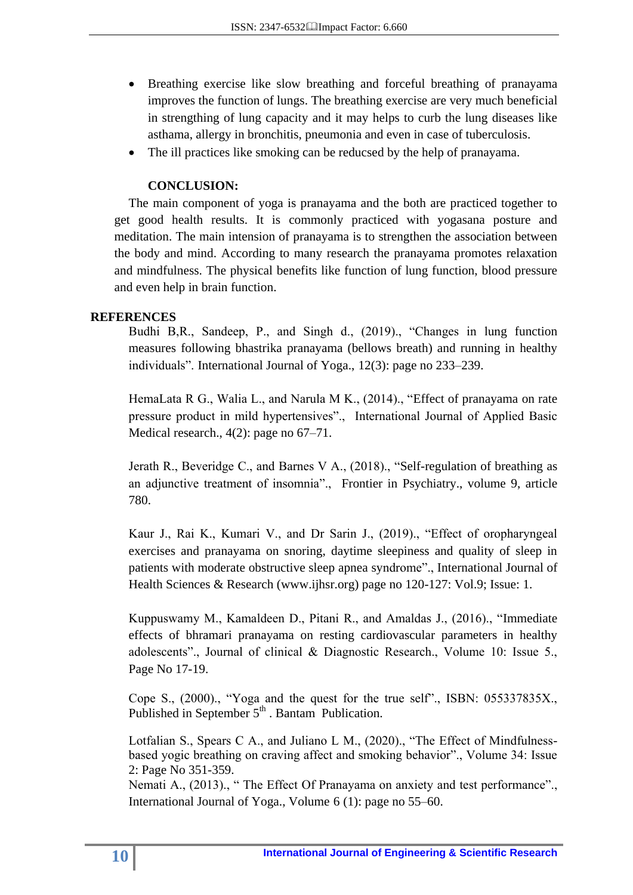- Breathing exercise like slow breathing and forceful breathing of pranayama improves the function of lungs. The breathing exercise are very much beneficial in strengthing of lung capacity and it may helps to curb the lung diseases like asthama, allergy in bronchitis, pneumonia and even in case of tuberculosis.
- The ill practices like smoking can be reducsed by the help of pranayama.

### **CONCLUSION:**

The main component of yoga is pranayama and the both are practiced together to get good health results. It is commonly practiced with yogasana posture and meditation. The main intension of pranayama is to strengthen the association between the body and mind. According to many research the pranayama promotes relaxation and mindfulness. The physical benefits like function of lung function, blood pressure and even help in brain function.

#### **REFERENCES**

Budhi B,R., Sandeep, P., and Singh d., (2019)., "Changes in lung function measures following bhastrika pranayama (bellows breath) and running in healthy individuals". International Journal of Yoga., 12(3): page no 233–239.

HemaLata R G., Walia L., and Narula M K., (2014)., "Effect of pranayama on rate pressure product in mild hypertensives"., International Journal of Applied Basic Medical research., 4(2): page no 67–71.

Jerath R., Beveridge C., and Barnes V A., (2018)., "Self-regulation of breathing as an adjunctive treatment of insomnia"., Frontier in Psychiatry., volume 9, article 780.

Kaur J., Rai K., Kumari V., and Dr Sarin J., (2019)., "Effect of oropharyngeal exercises and pranayama on snoring, daytime sleepiness and quality of sleep in patients with moderate obstructive sleep apnea syndrome"., International Journal of Health Sciences & Research (www.ijhsr.org) page no 120-127: Vol.9; Issue: 1.

Kuppuswamy M., Kamaldeen D., Pitani R., and Amaldas J., (2016)., "Immediate effects of bhramari pranayama on resting cardiovascular parameters in healthy adolescents"., Journal of clinical & Diagnostic Research., Volume 10: Issue 5., Page No 17-19.

Cope S., (2000)., "Yoga and the quest for the true self"., ISBN: 055337835X., Published in September 5<sup>th</sup> . Bantam Publication.

Lotfalian S., Spears C A., and Juliano L M., (2020)., "The Effect of Mindfulnessbased yogic breathing on craving affect and smoking behavior"., Volume 34: Issue 2: Page No 351-359.

Nemati A., (2013)., " The Effect Of Pranayama on anxiety and test performance"., International Journal of Yoga., Volume 6 (1): page no 55–60.